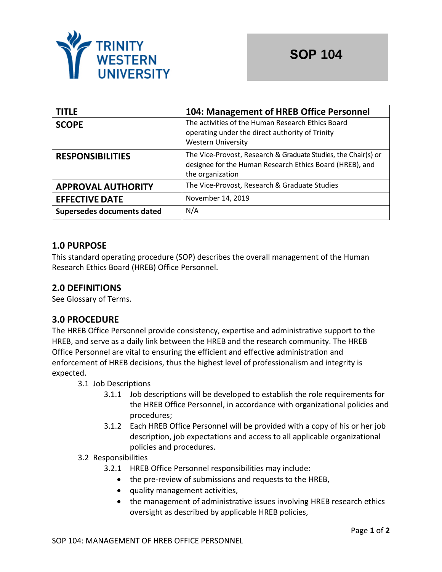

| <b>TITLE</b>               | 104: Management of HREB Office Personnel                                                                                                       |  |
|----------------------------|------------------------------------------------------------------------------------------------------------------------------------------------|--|
| <b>SCOPE</b>               | The activities of the Human Research Ethics Board<br>operating under the direct authority of Trinity<br><b>Western University</b>              |  |
| <b>RESPONSIBILITIES</b>    | The Vice-Provost, Research & Graduate Studies, the Chair(s) or<br>designee for the Human Research Ethics Board (HREB), and<br>the organization |  |
| <b>APPROVAL AUTHORITY</b>  | The Vice-Provost, Research & Graduate Studies                                                                                                  |  |
| <b>EFFECTIVE DATE</b>      | November 14, 2019                                                                                                                              |  |
| Supersedes documents dated | N/A                                                                                                                                            |  |

# **1.0 PURPOSE**

This standard operating procedure (SOP) describes the overall management of the Human Research Ethics Board (HREB) Office Personnel.

## **2.0 DEFINITIONS**

See Glossary of Terms.

### **3.0 PROCEDURE**

The HREB Office Personnel provide consistency, expertise and administrative support to the HREB, and serve as a daily link between the HREB and the research community. The HREB Office Personnel are vital to ensuring the efficient and effective administration and enforcement of HREB decisions, thus the highest level of professionalism and integrity is expected.

- 3.1 Job Descriptions
	- 3.1.1 Job descriptions will be developed to establish the role requirements for the HREB Office Personnel, in accordance with organizational policies and procedures;
	- 3.1.2 Each HREB Office Personnel will be provided with a copy of his or her job description, job expectations and access to all applicable organizational policies and procedures.

#### 3.2 Responsibilities

- 3.2.1 HREB Office Personnel responsibilities may include:
	- the pre-review of submissions and requests to the HREB,
	- quality management activities,
	- the management of administrative issues involving HREB research ethics oversight as described by applicable HREB policies,